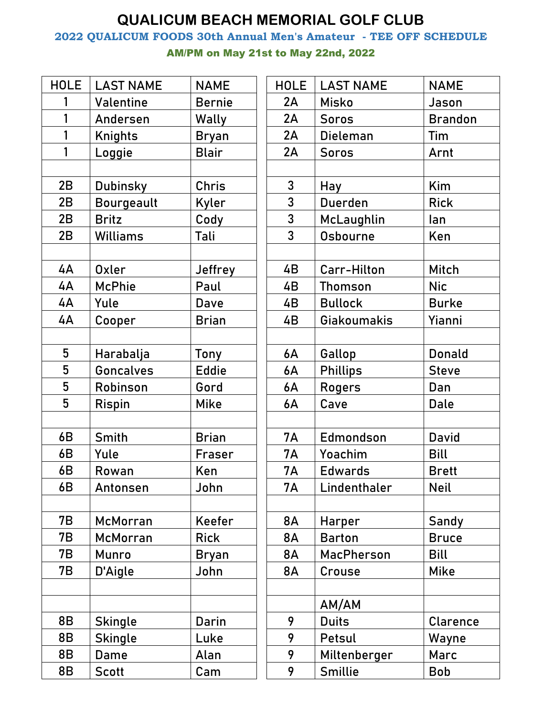## **QUALICUM BEACH MEMORIAL GOLF CLUB**

**2022 QUALICUM FOODS 30th Annual Men's Amateur - TEE OFF SCHEDULE**

AM/PM on May 21st to May 22nd, 2022

| <b>HOLE</b> | <b>LAST NAME</b>  | <b>NAME</b>    | <b>HOLE</b>    | <b>LAST NAME</b>  | <b>NAME</b>    |
|-------------|-------------------|----------------|----------------|-------------------|----------------|
| 1           | Valentine         | <b>Bernie</b>  | 2A             | <b>Misko</b>      | Jason          |
| 1           | Andersen          | Wally          | 2A             | <b>Soros</b>      | <b>Brandon</b> |
| 1           | <b>Knights</b>    | <b>Bryan</b>   | 2A             | Dieleman          | Tim            |
| 1           | Loggie            | <b>Blair</b>   | 2A             | <b>Soros</b>      | Arnt           |
|             |                   |                |                |                   |                |
| 2B          | <b>Dubinsky</b>   | <b>Chris</b>   | 3              | Hay               | Kim            |
| 2B          | <b>Bourgeault</b> | Kyler          | 3              | <b>Duerden</b>    | <b>Rick</b>    |
| 2B          | <b>Britz</b>      | Cody           | 3              | McLaughlin        | lan            |
| 2B          | <b>Williams</b>   | Tali           | $\overline{3}$ | Osbourne          | Ken            |
|             |                   |                |                |                   |                |
| 4A          | <b>Oxler</b>      | <b>Jeffrey</b> | 4B             | Carr-Hilton       | Mitch          |
| 4A          | <b>McPhie</b>     | Paul           | 4B             | <b>Thomson</b>    | <b>Nic</b>     |
| 4A          | Yule              | <b>Dave</b>    | 4B             | <b>Bullock</b>    | <b>Burke</b>   |
| 4A          | Cooper            | <b>Brian</b>   | 4B             | Giakoumakis       | Yianni         |
|             |                   |                |                |                   |                |
| 5           | Harabalja         | Tony           | 6A             | Gallop            | <b>Donald</b>  |
| 5           | <b>Goncalves</b>  | <b>Eddie</b>   | 6A             | <b>Phillips</b>   | <b>Steve</b>   |
| 5           | Robinson          | Gord           | 6A             | <b>Rogers</b>     | Dan            |
| 5           | <b>Rispin</b>     | <b>Mike</b>    | 6A             | Cave              | <b>Dale</b>    |
|             |                   |                |                |                   |                |
| 6B          | Smith             | <b>Brian</b>   | <b>7A</b>      | Edmondson         | <b>David</b>   |
| 6B          | Yule              | Fraser         | <b>7A</b>      | Yoachim           | <b>Bill</b>    |
| 6B          | Rowan             | Ken            | <b>7A</b>      | <b>Edwards</b>    | <b>Brett</b>   |
| 6B          | Antonsen          | John           | <b>7A</b>      | Lindenthaler      | <b>Neil</b>    |
|             |                   |                |                |                   |                |
| 7B          | <b>McMorran</b>   | Keefer         | <b>8A</b>      | Harper            | Sandy          |
| 7В          | McMorran          | <b>Rick</b>    | 8A             | <b>Barton</b>     | <b>Bruce</b>   |
| 7В          | Munro             | Bryan          | <b>8A</b>      | <b>MacPherson</b> | <b>Bill</b>    |
| 7B          | D'Aigle           | John           | <b>8A</b>      | Crouse            | <b>Mike</b>    |
|             |                   |                |                |                   |                |
|             |                   |                |                | AM/AM             |                |
| 8B          | <b>Skingle</b>    | Darin          | 9              | <b>Duits</b>      | Clarence       |
| 8B          | <b>Skingle</b>    | Luke           | 9              | Petsul            | Wayne          |
| 8B          | Dame              | Alan           | 9              | Miltenberger      | Marc           |
| 8B          | <b>Scott</b>      | Cam            | 9              | Smillie           | <b>Bob</b>     |